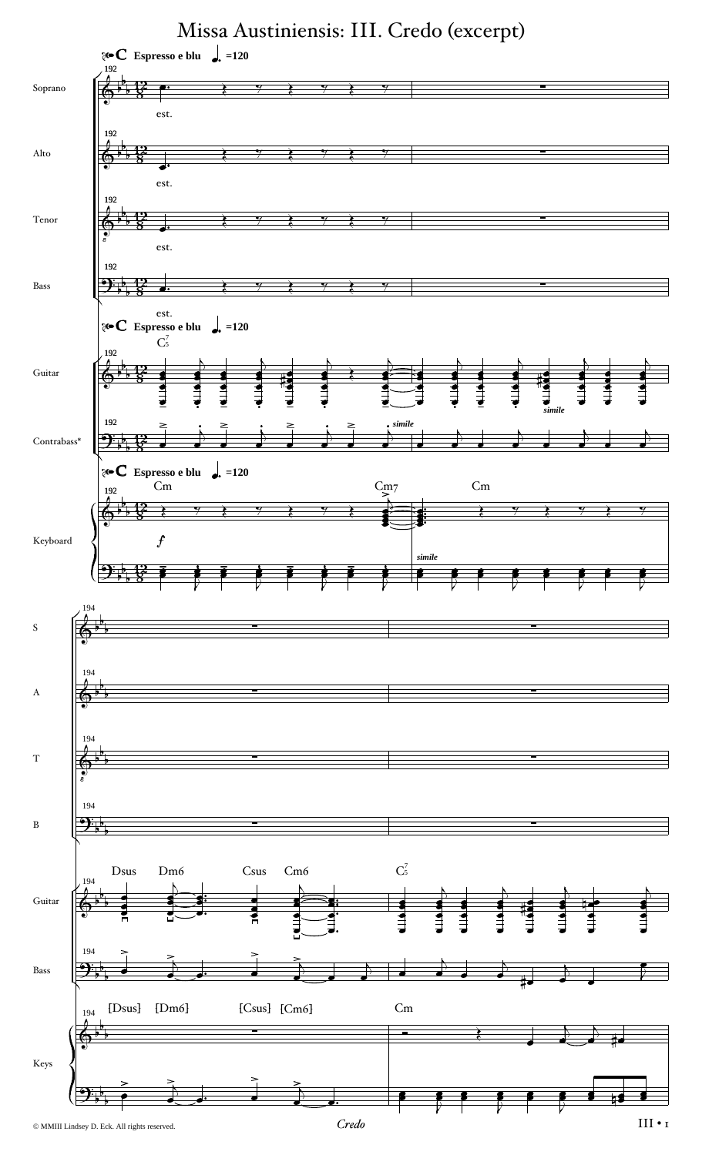

## Missa Austiniensis: III. Credo (excerpt)

© MMIII Lindsey D. Eck. All rights reserved.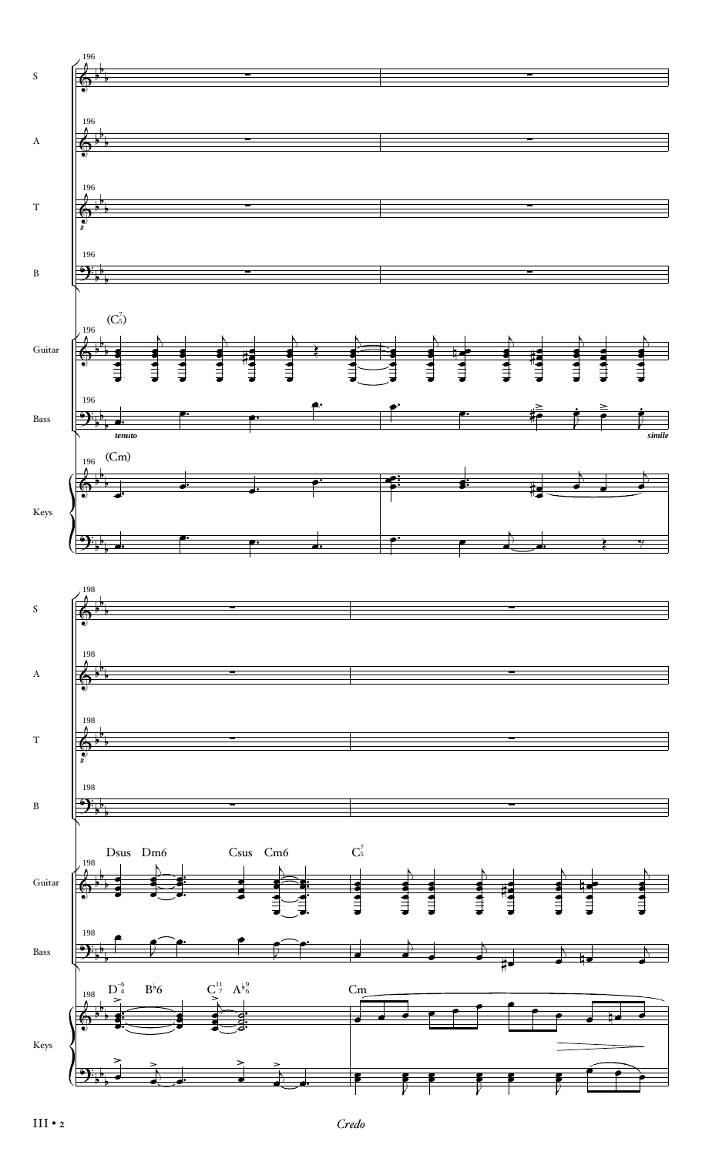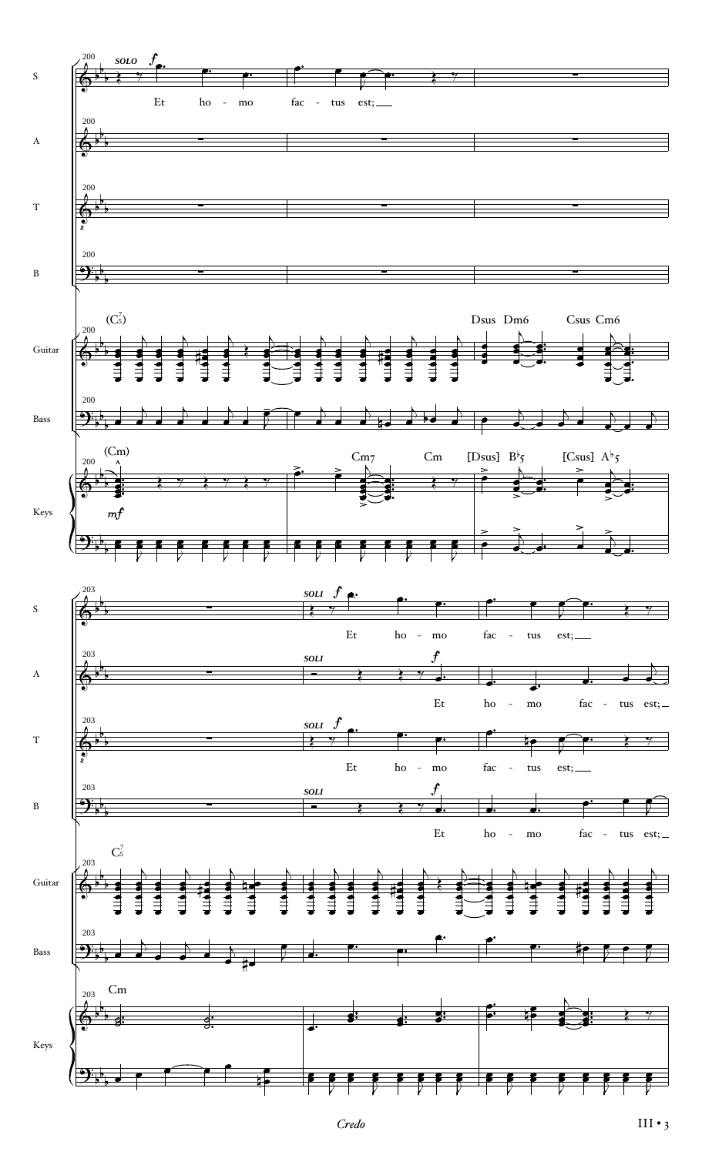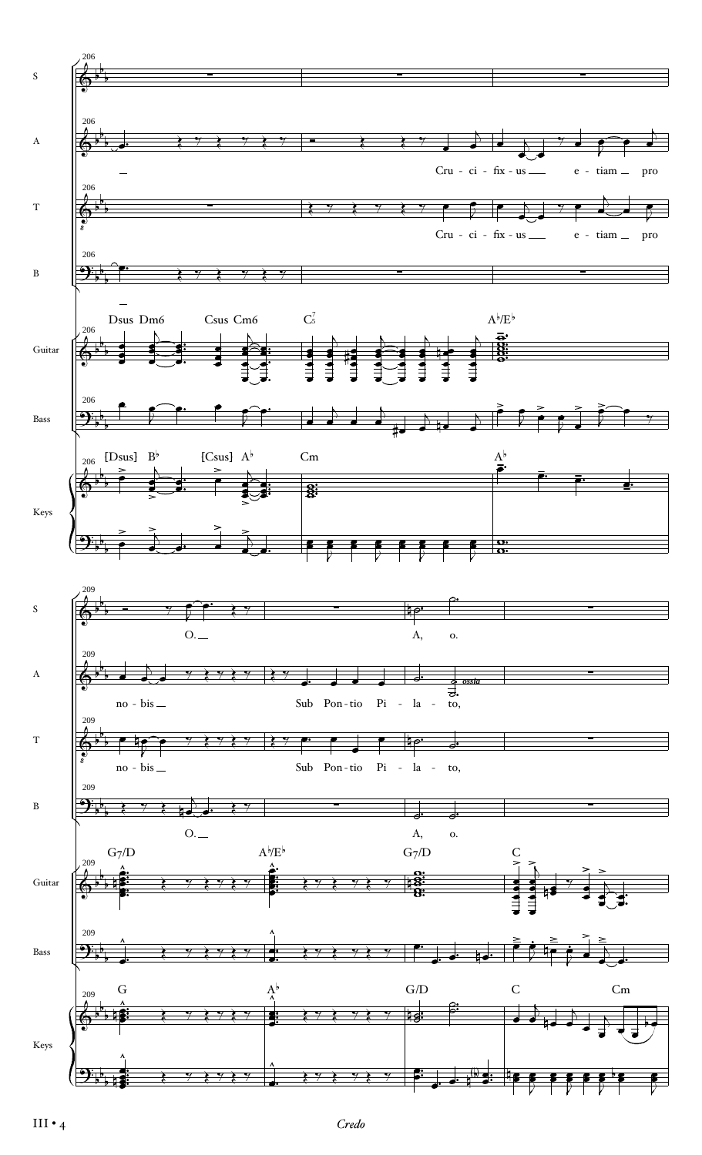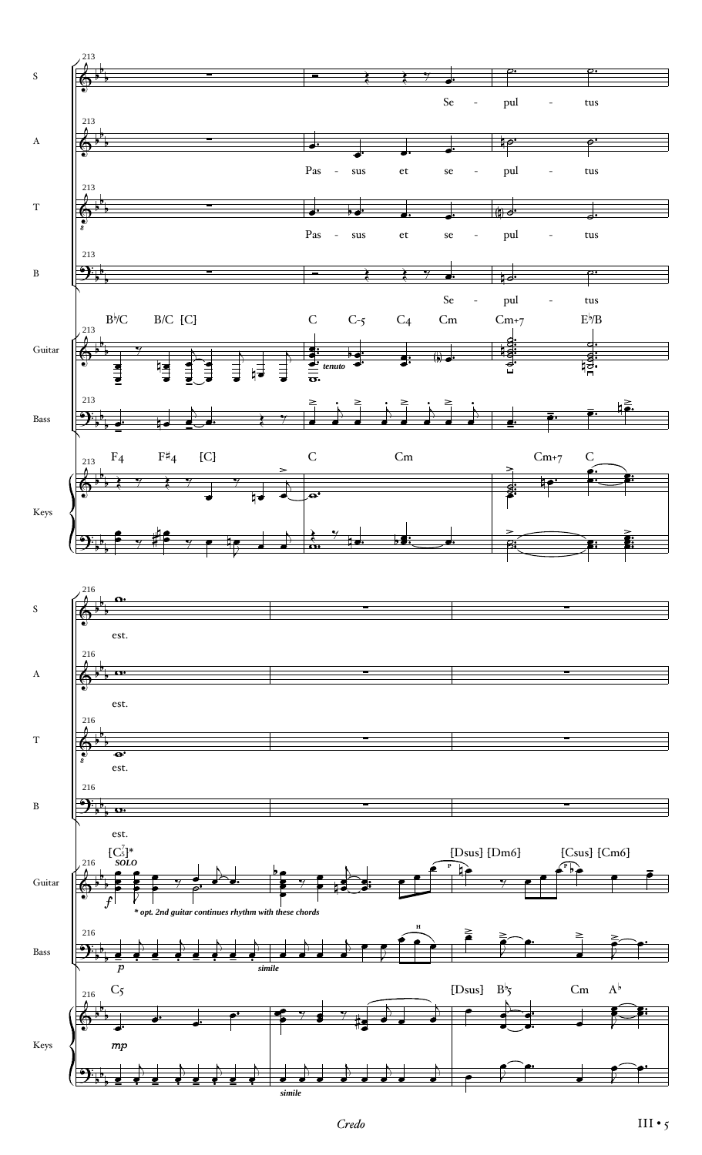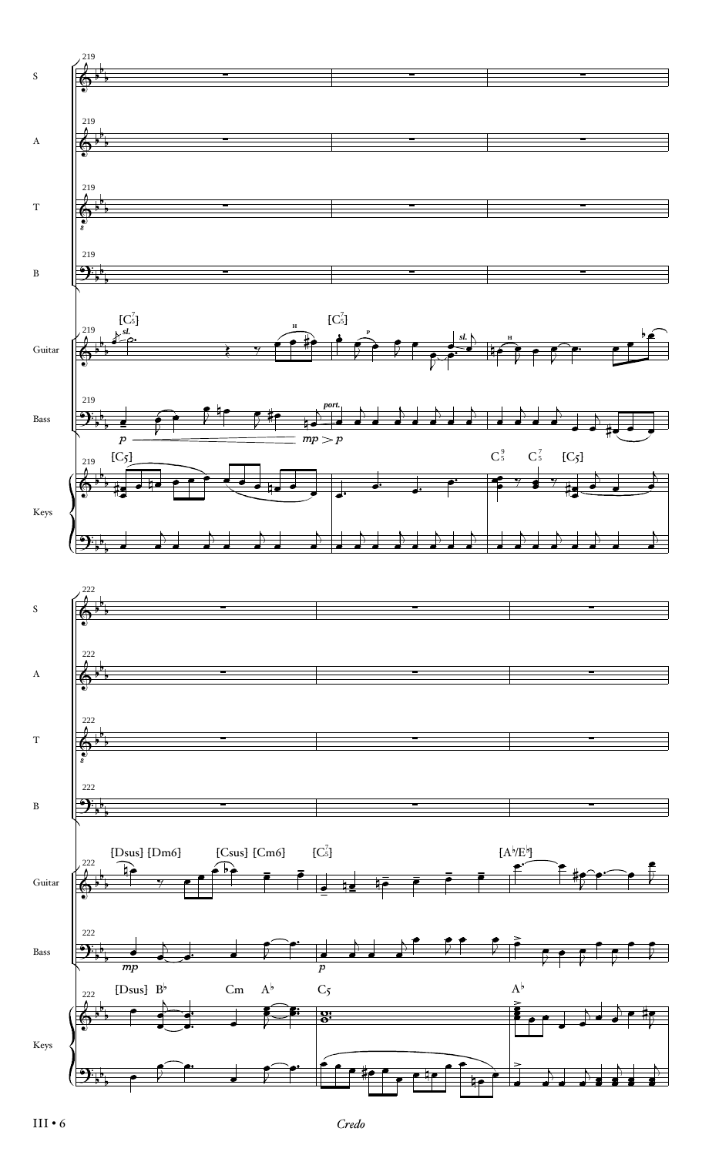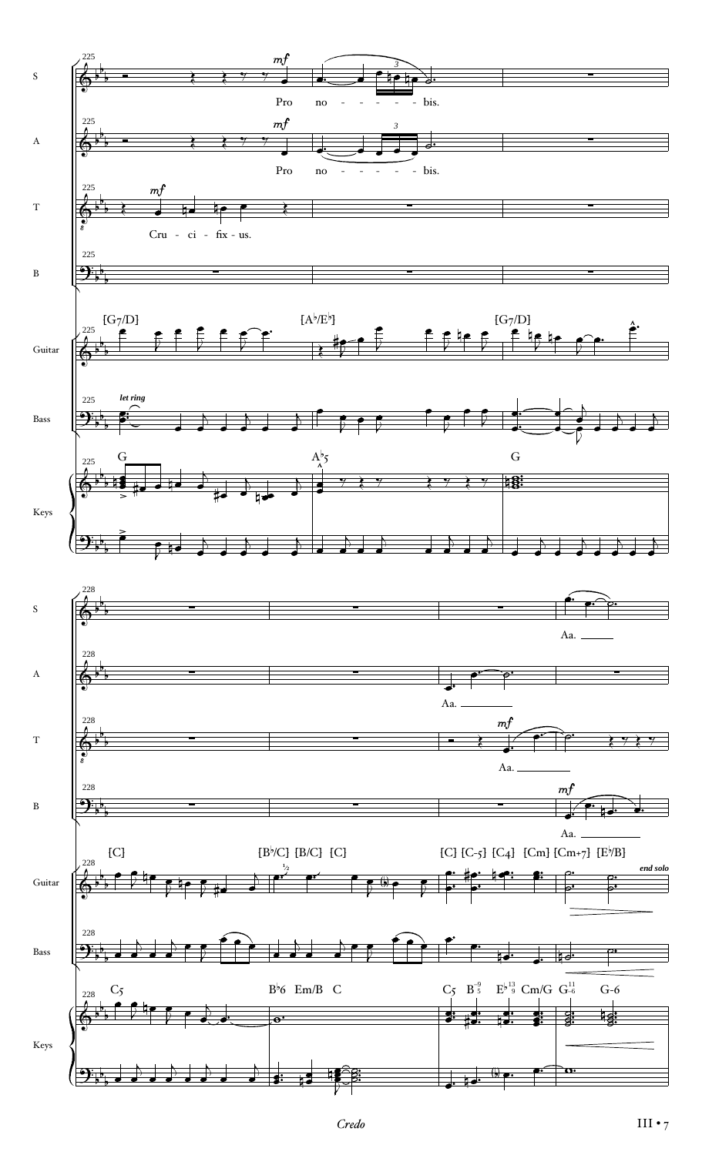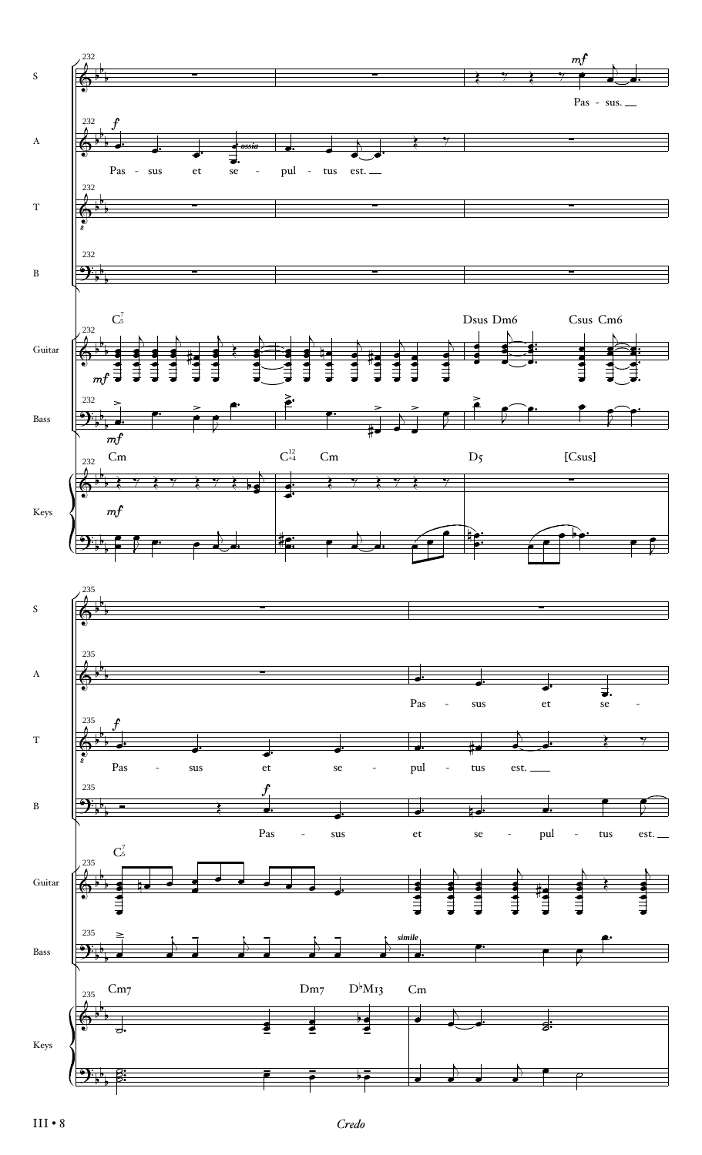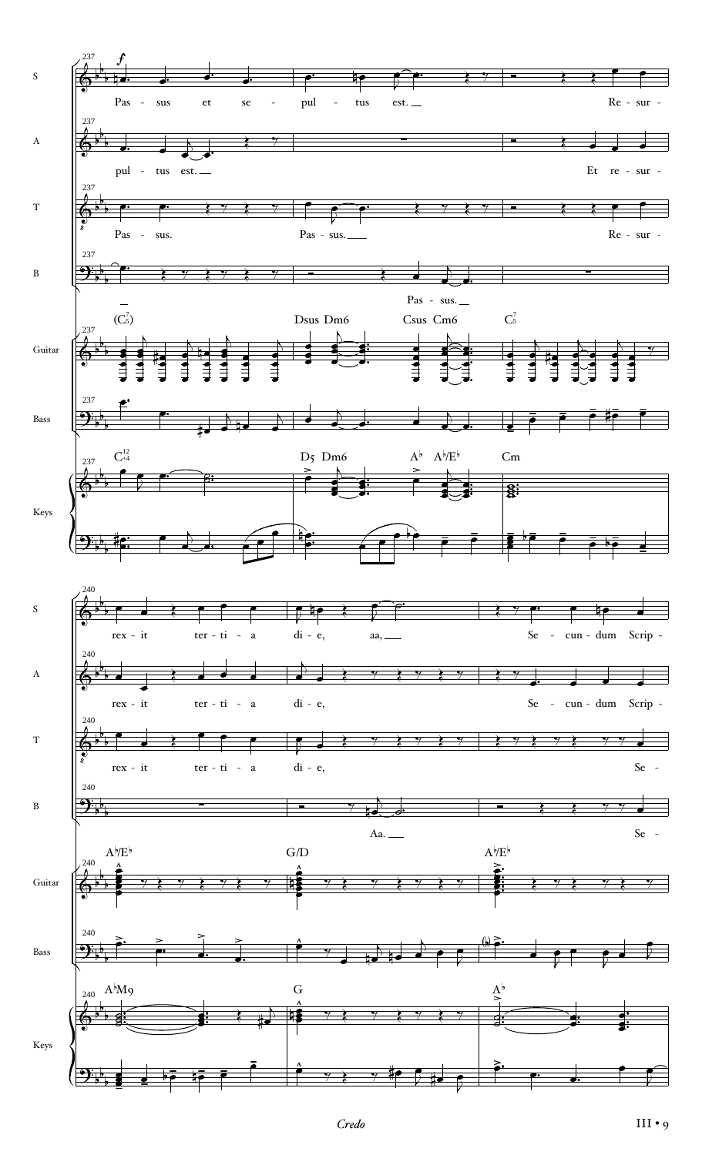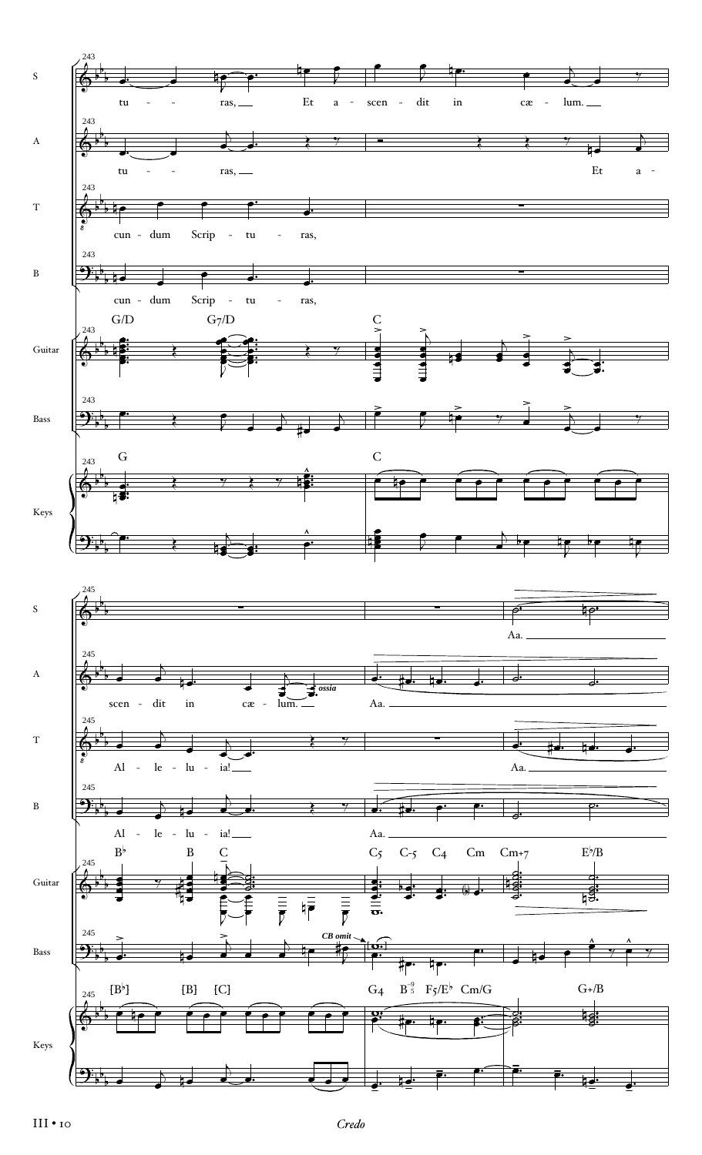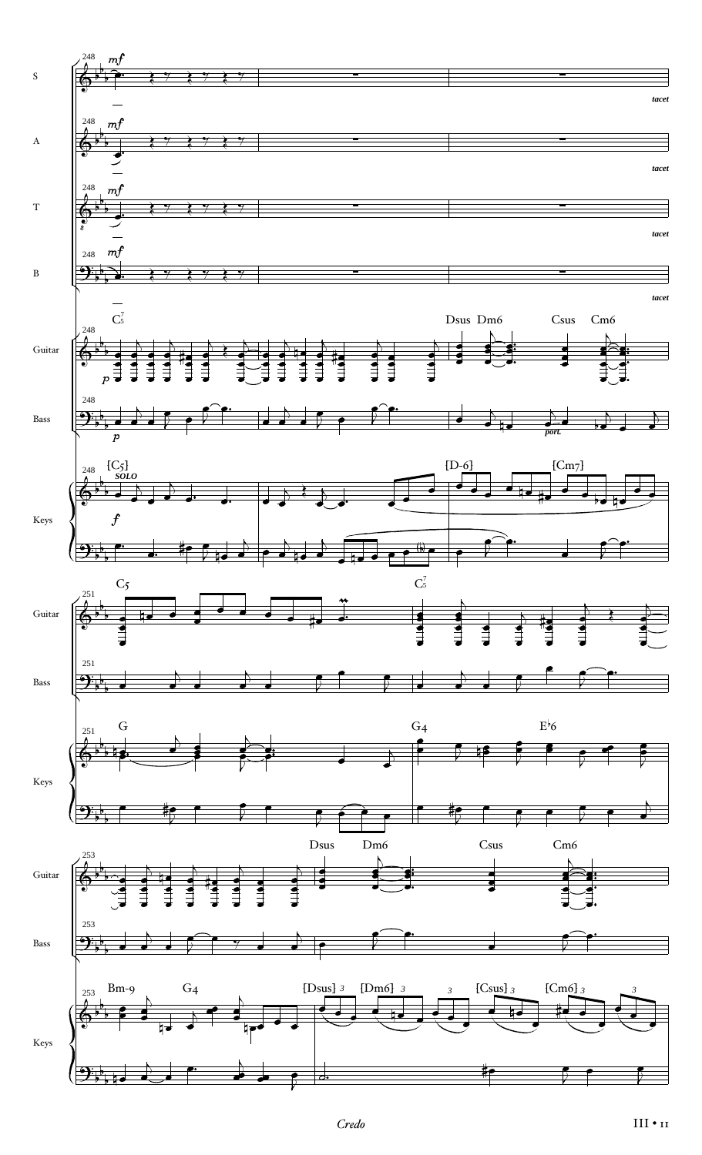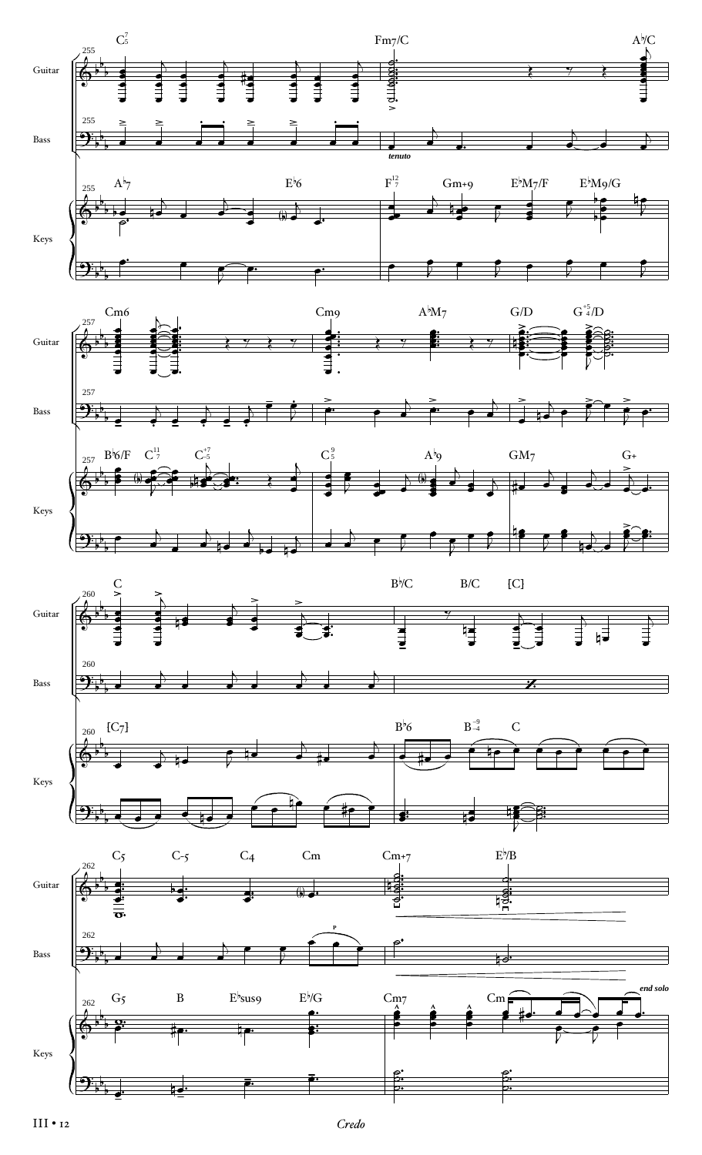

III • 12 *Credo*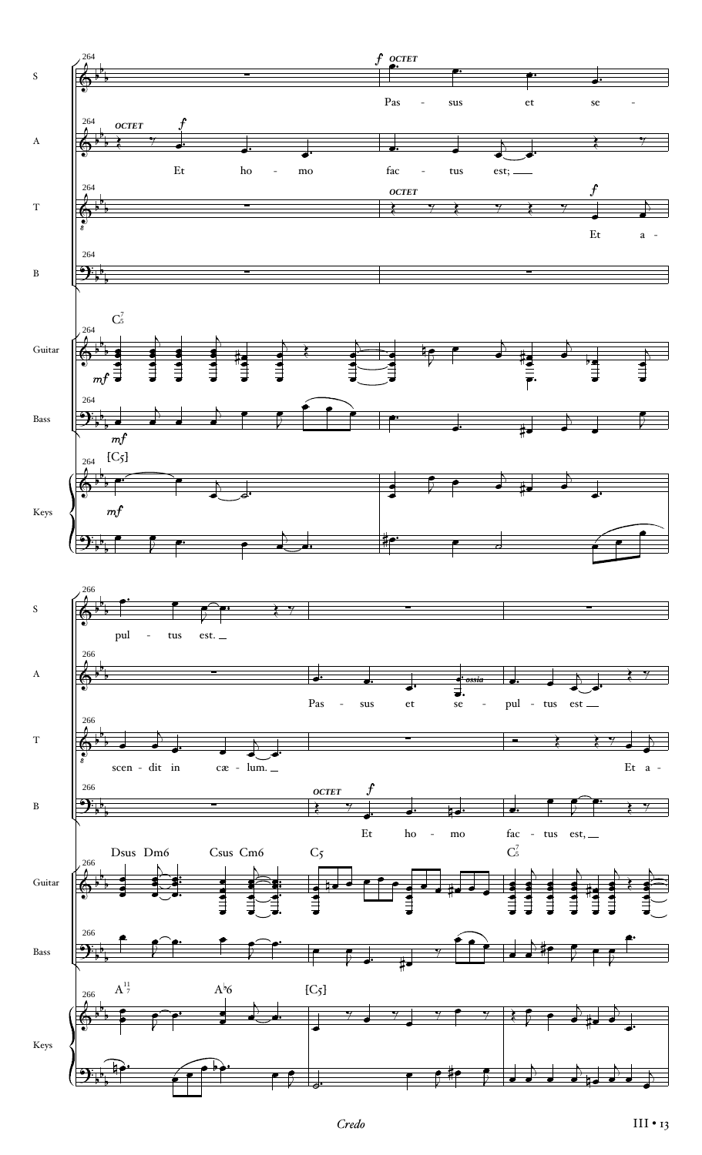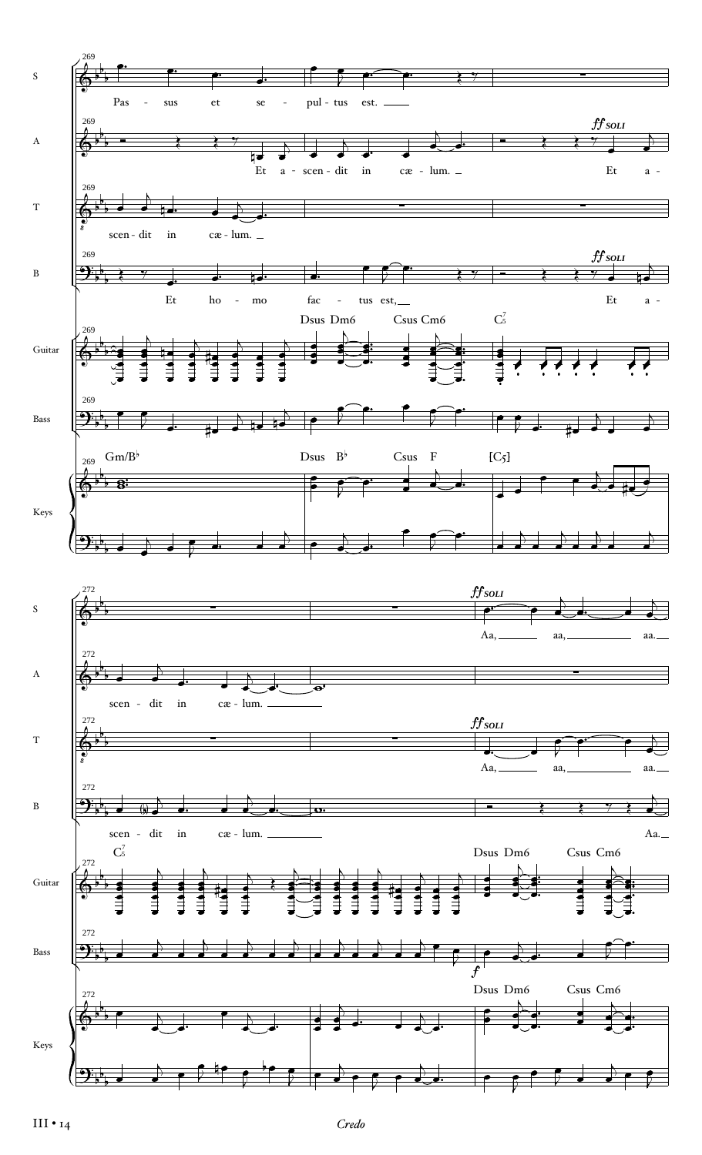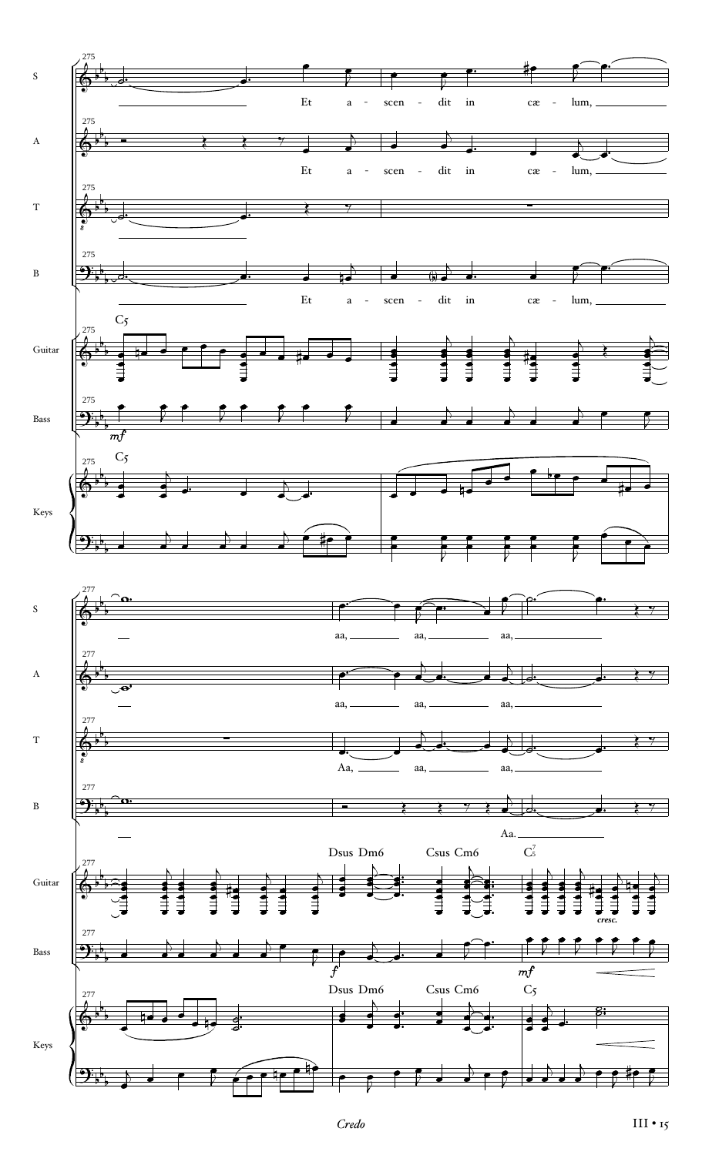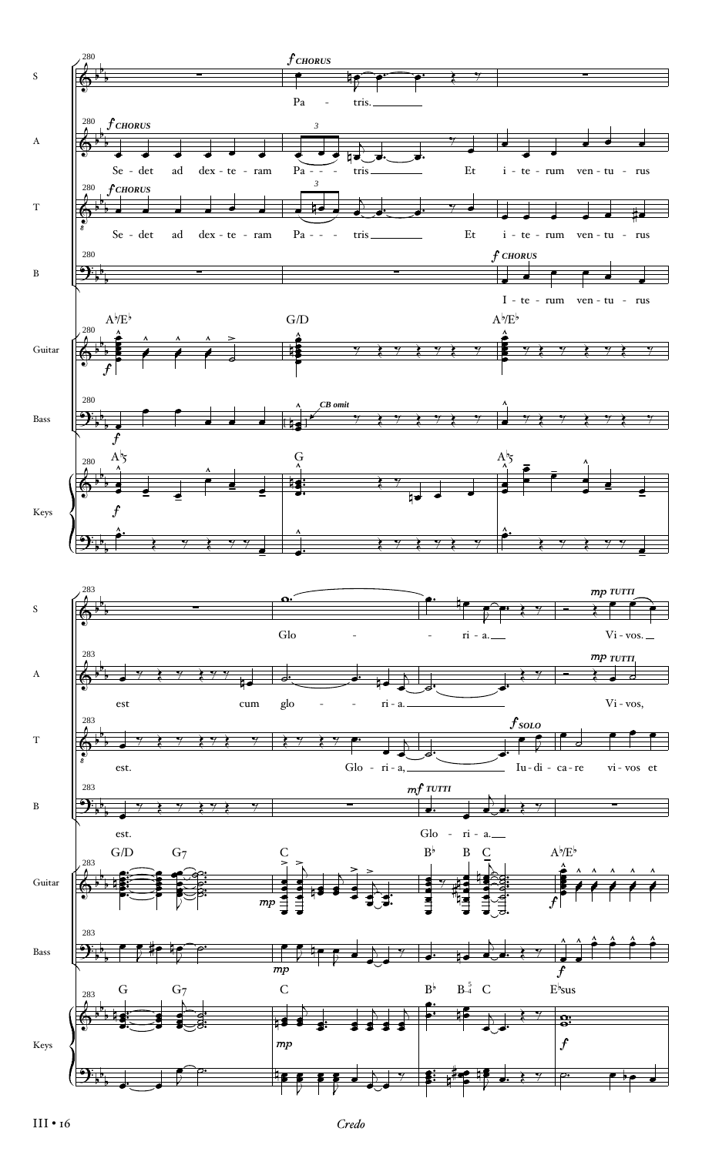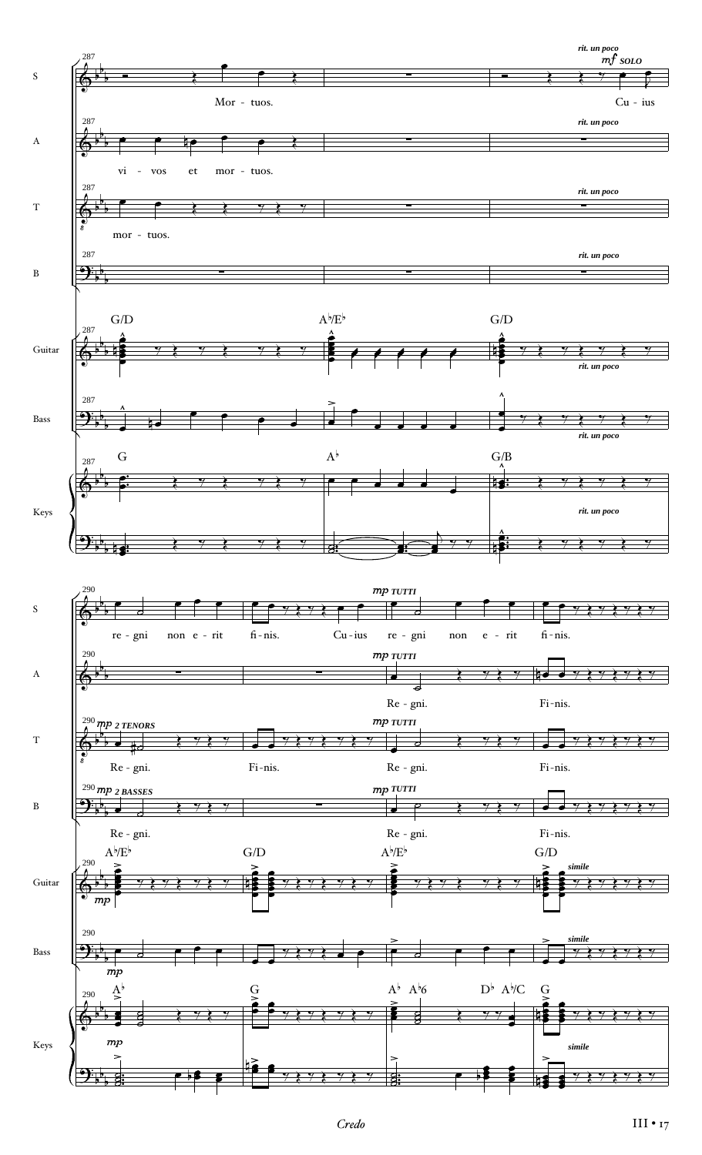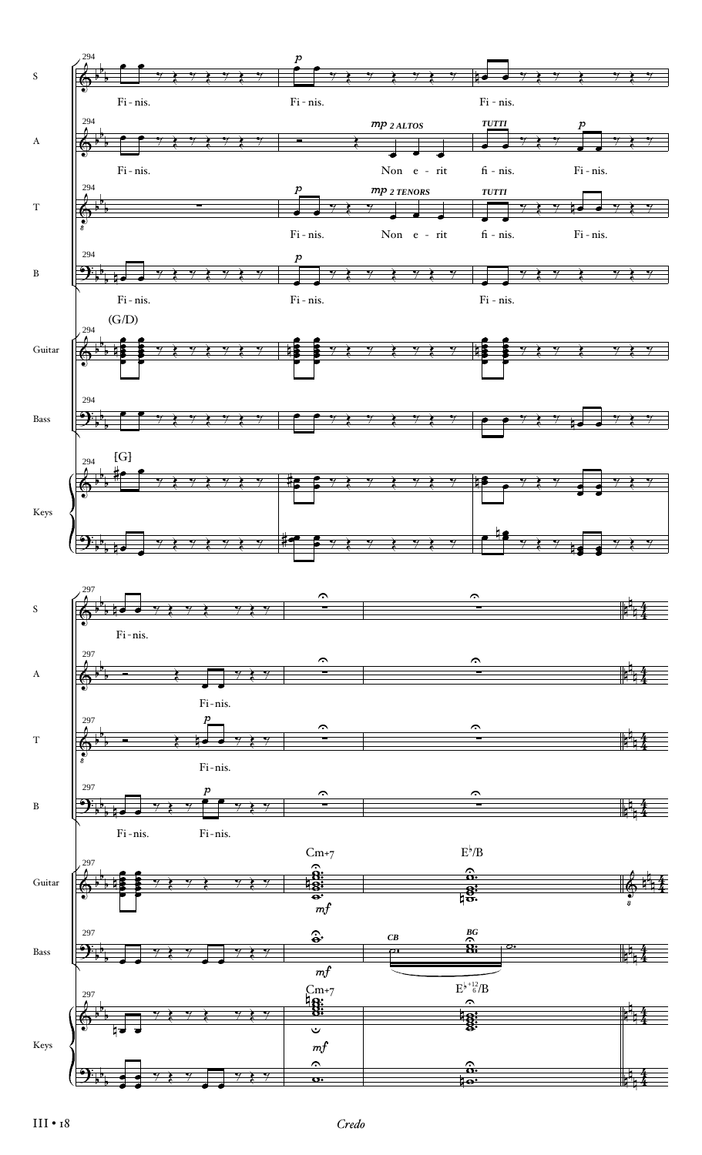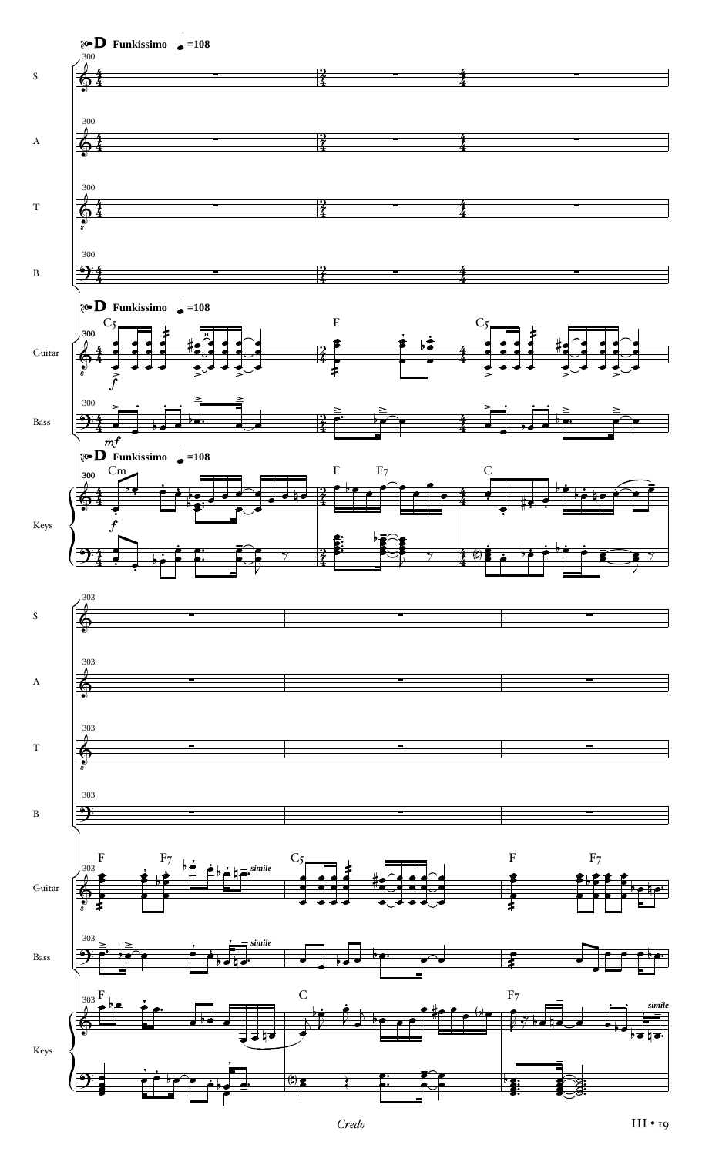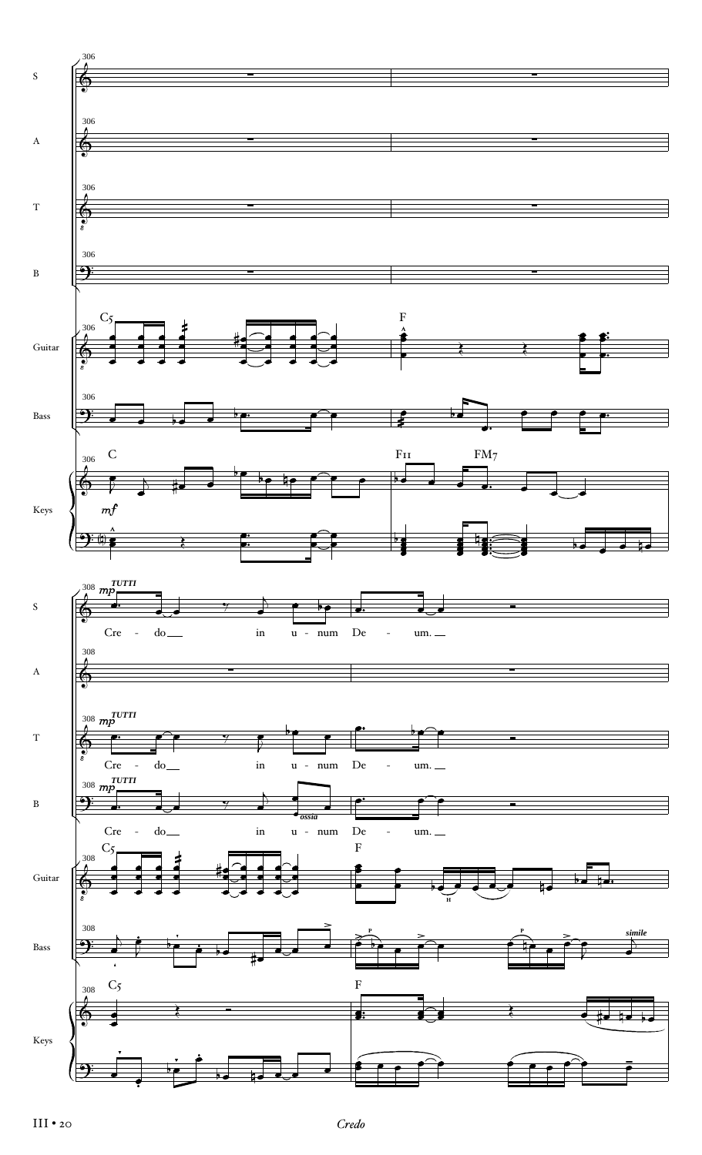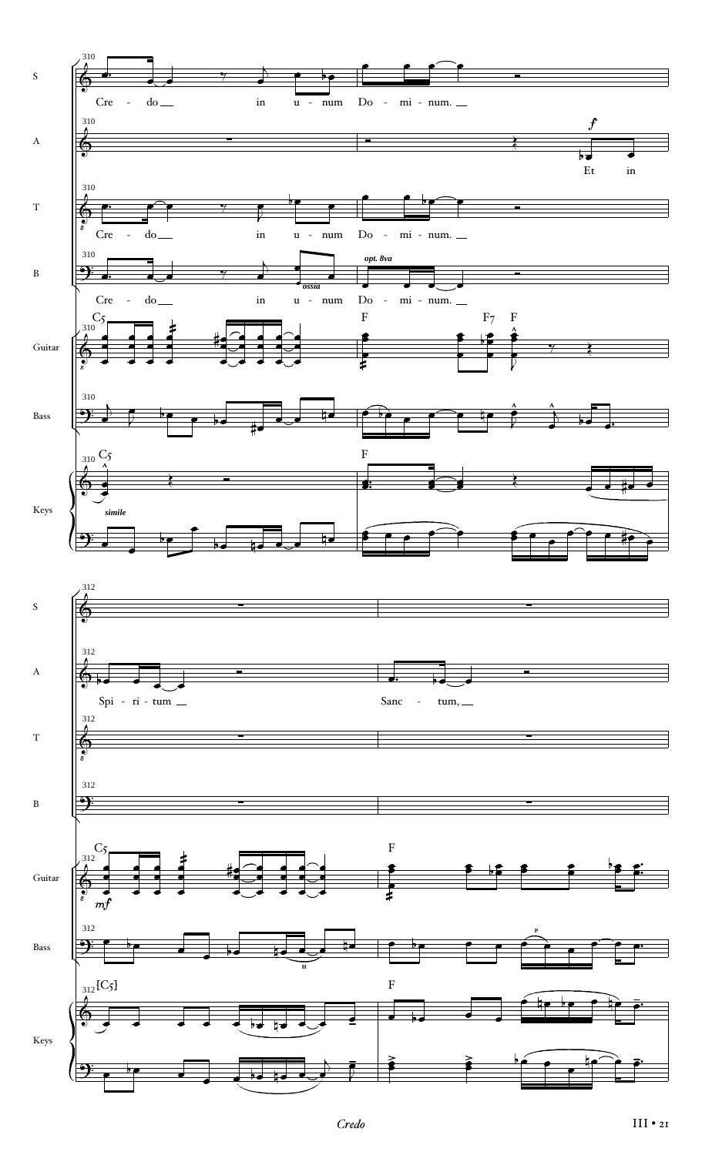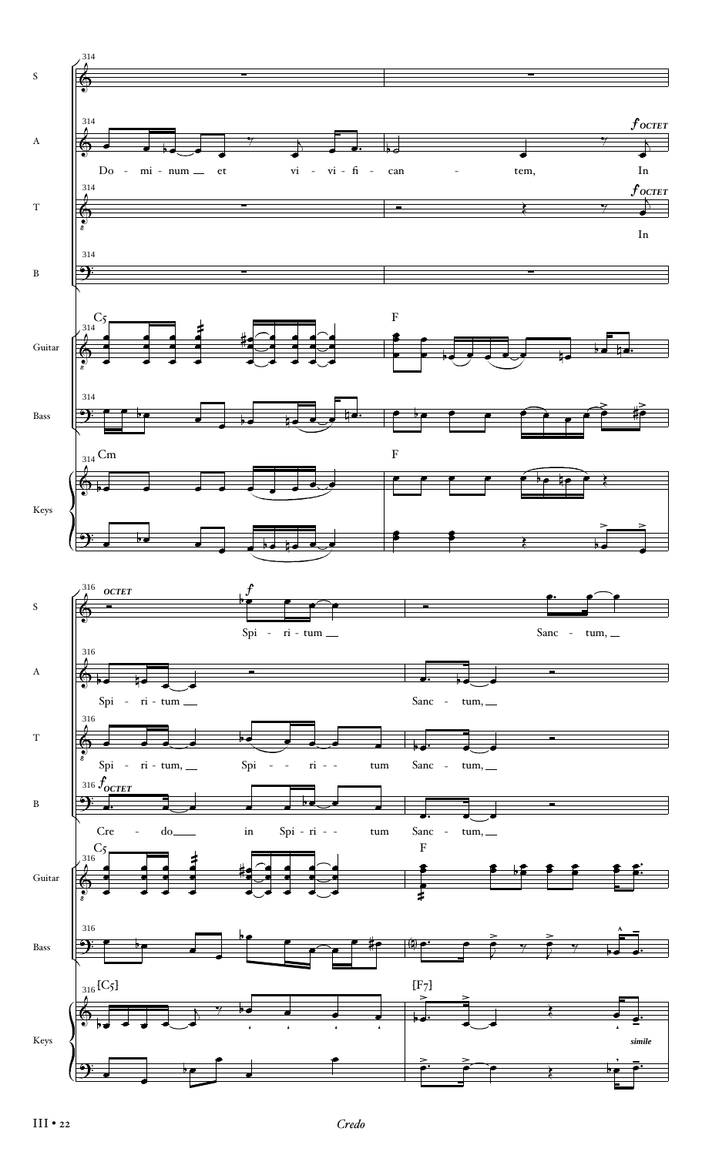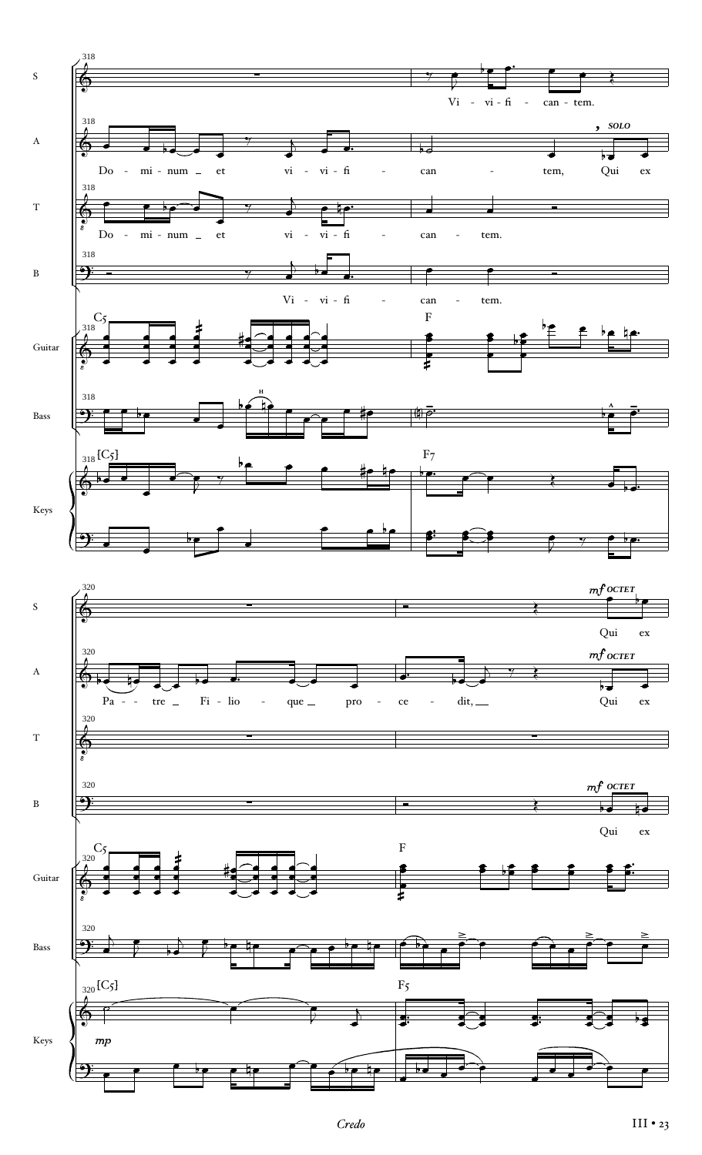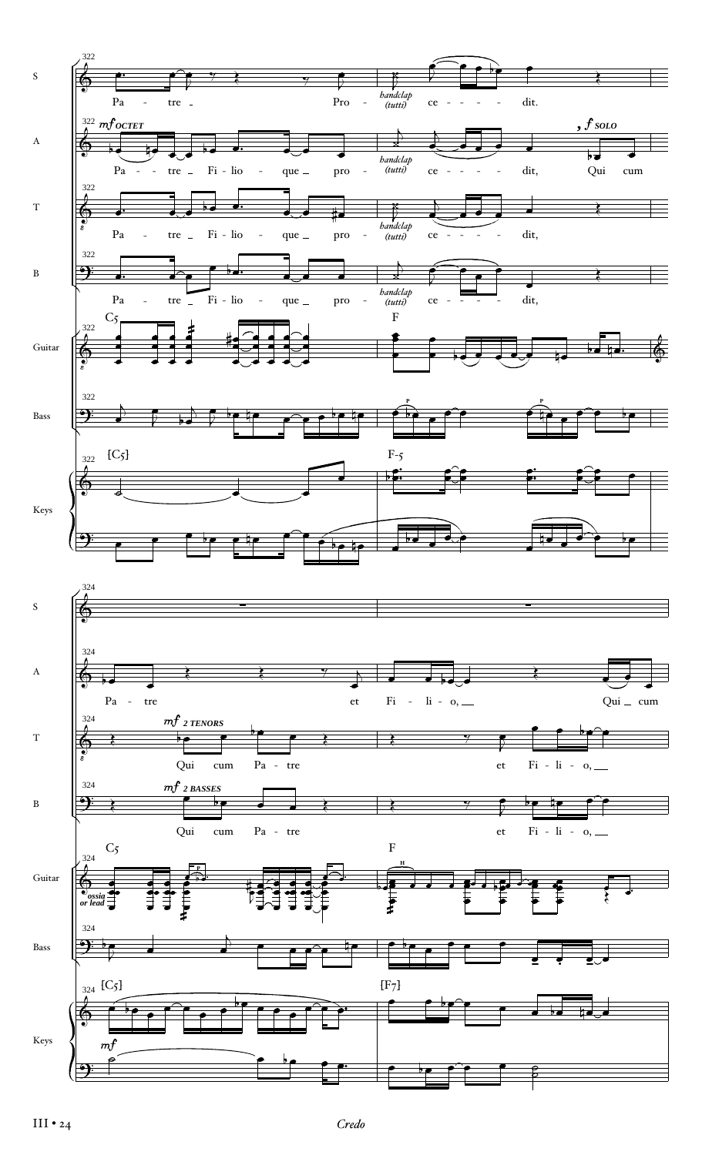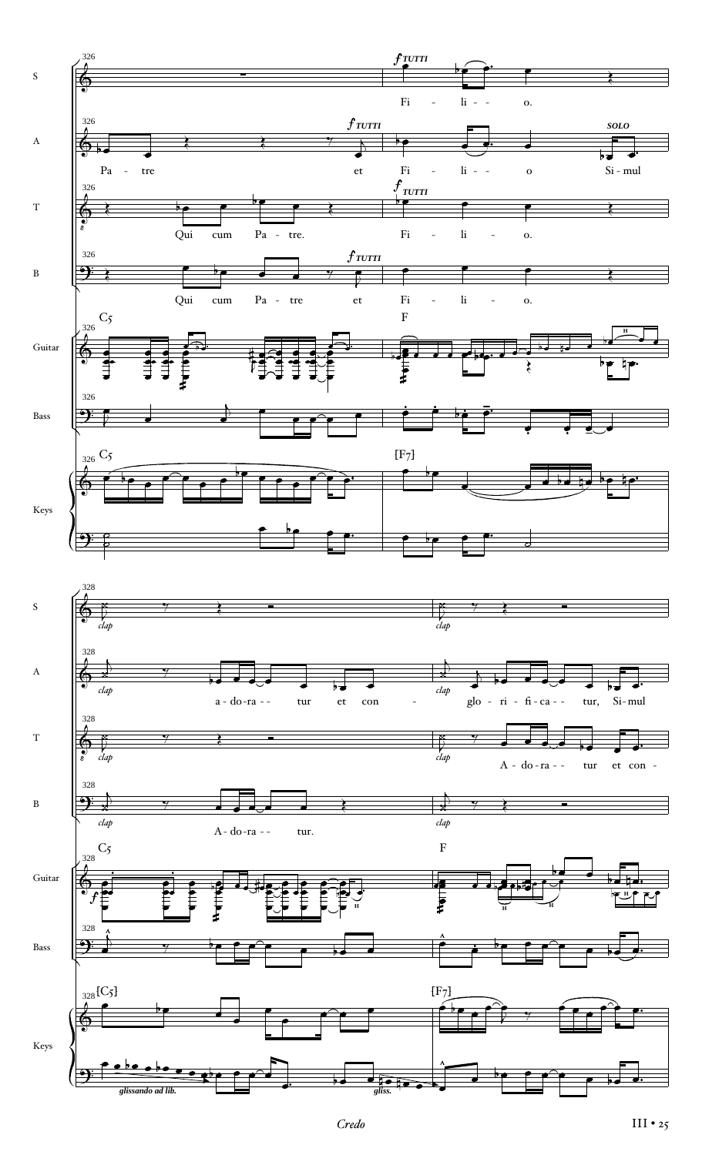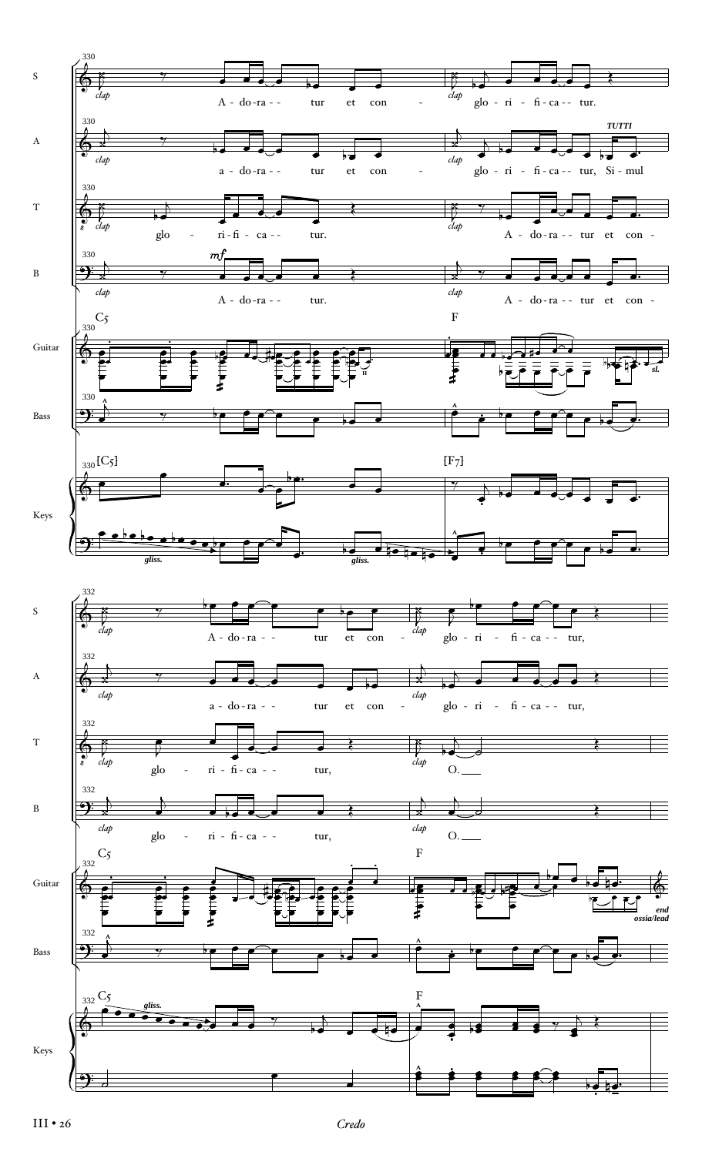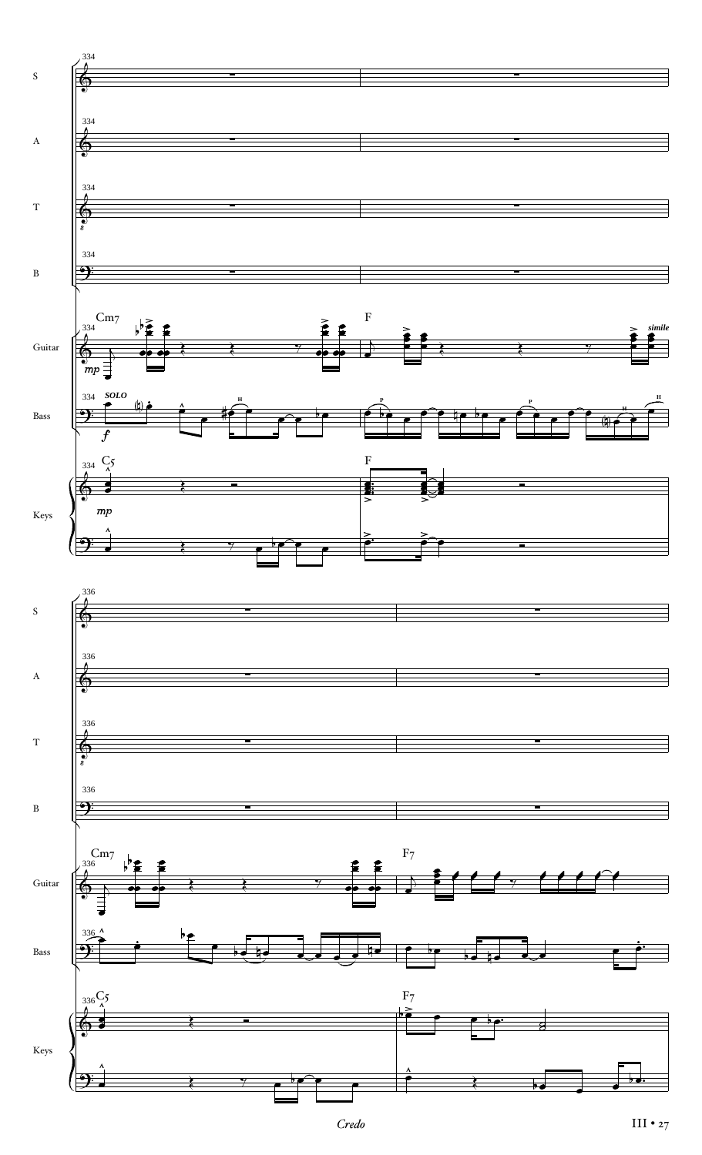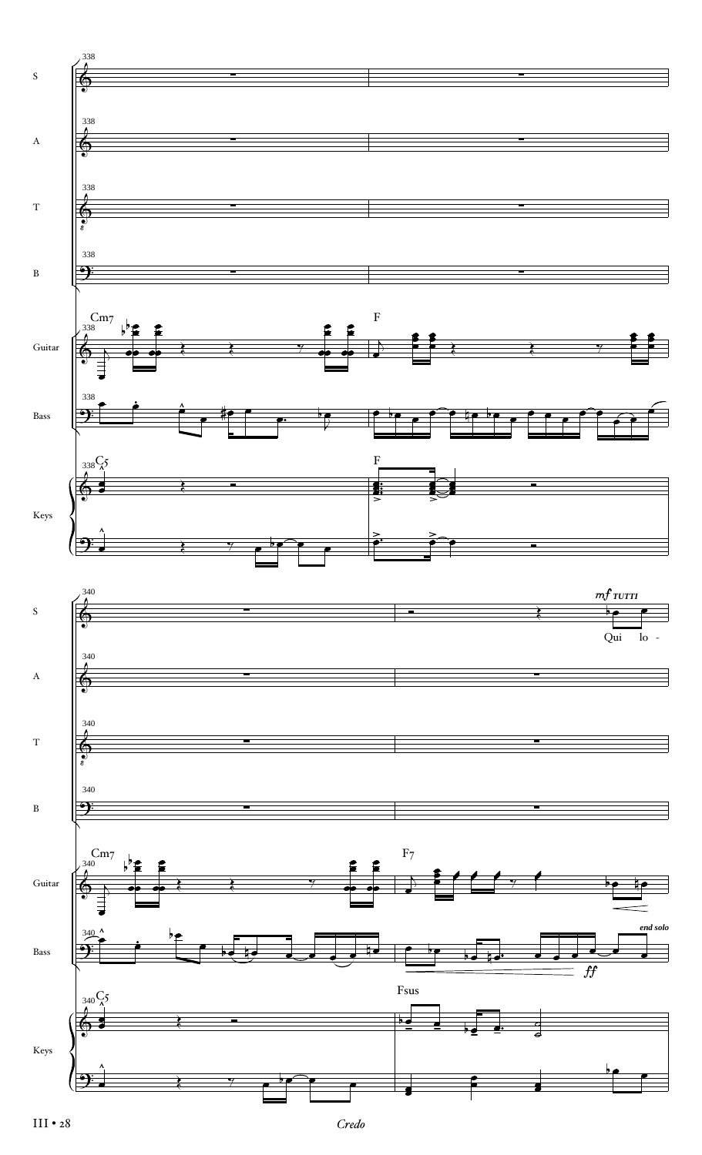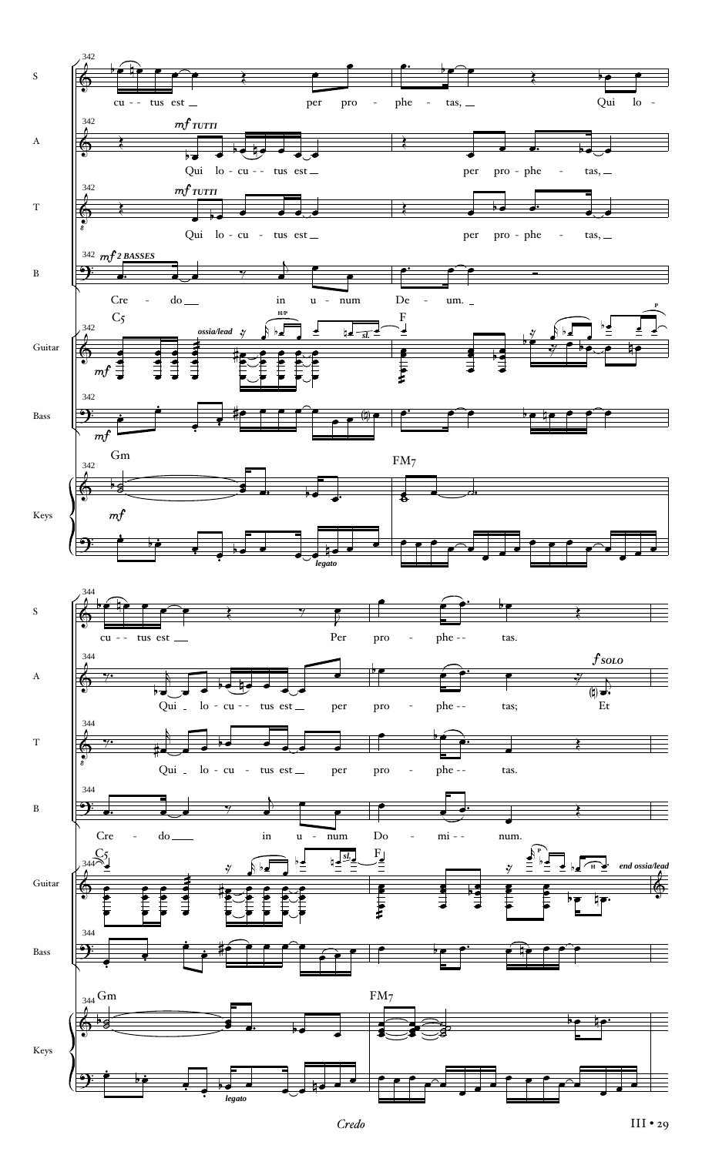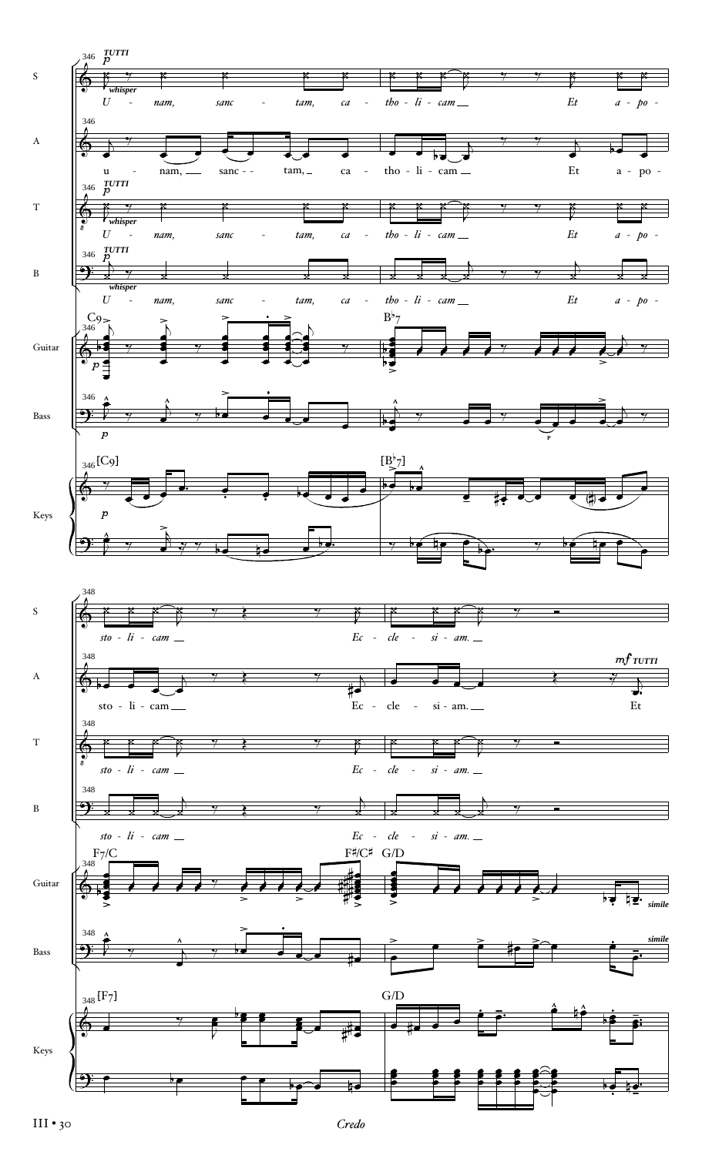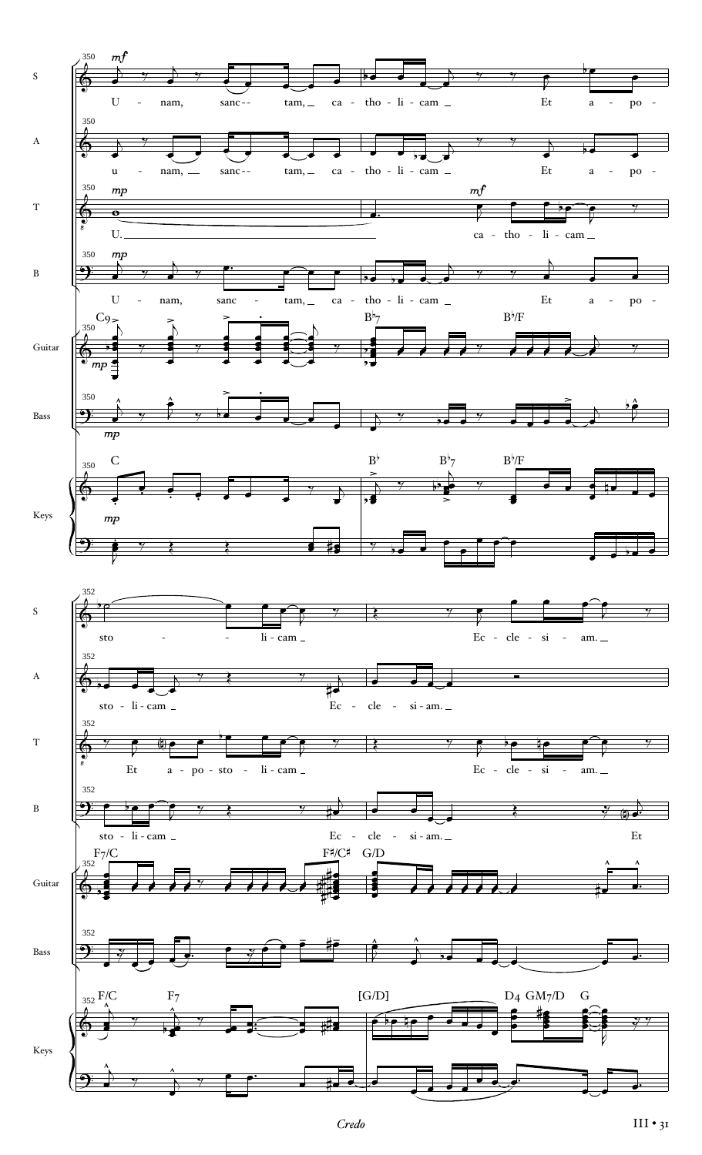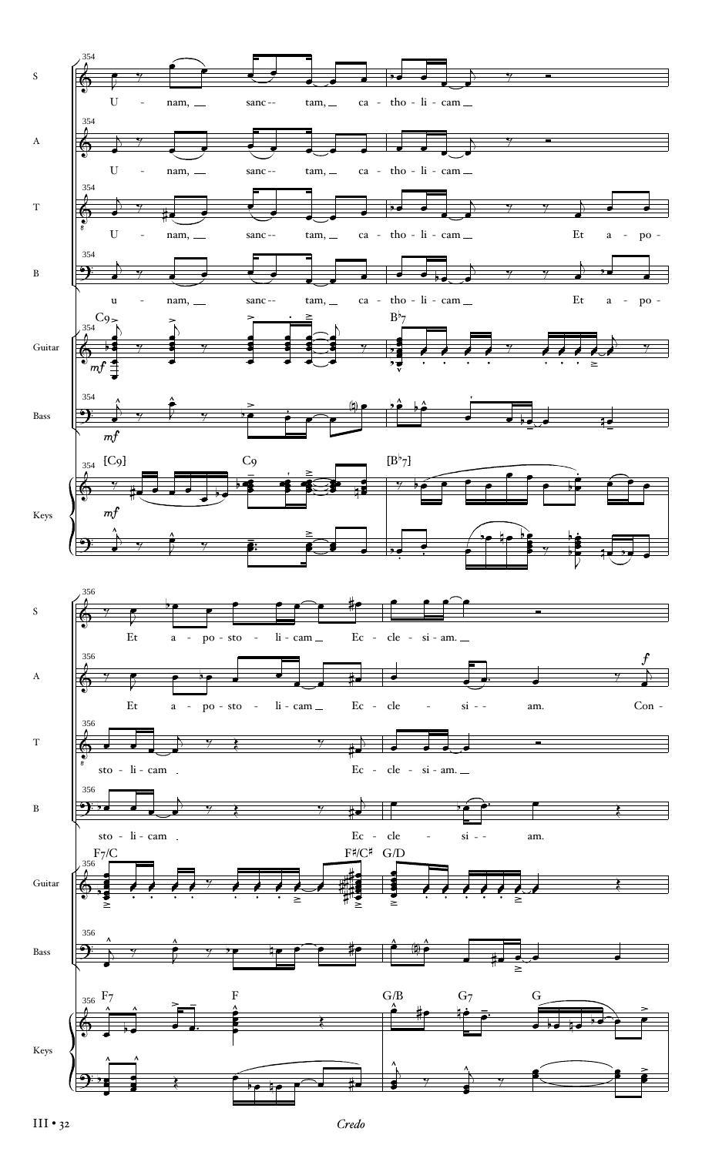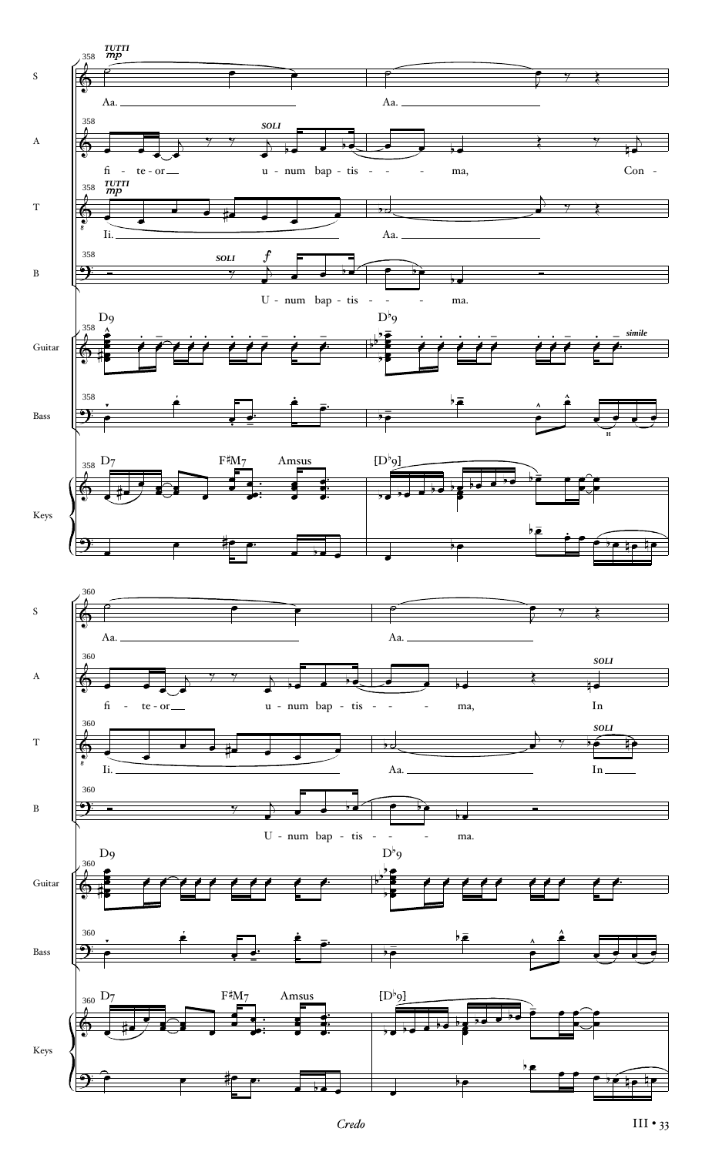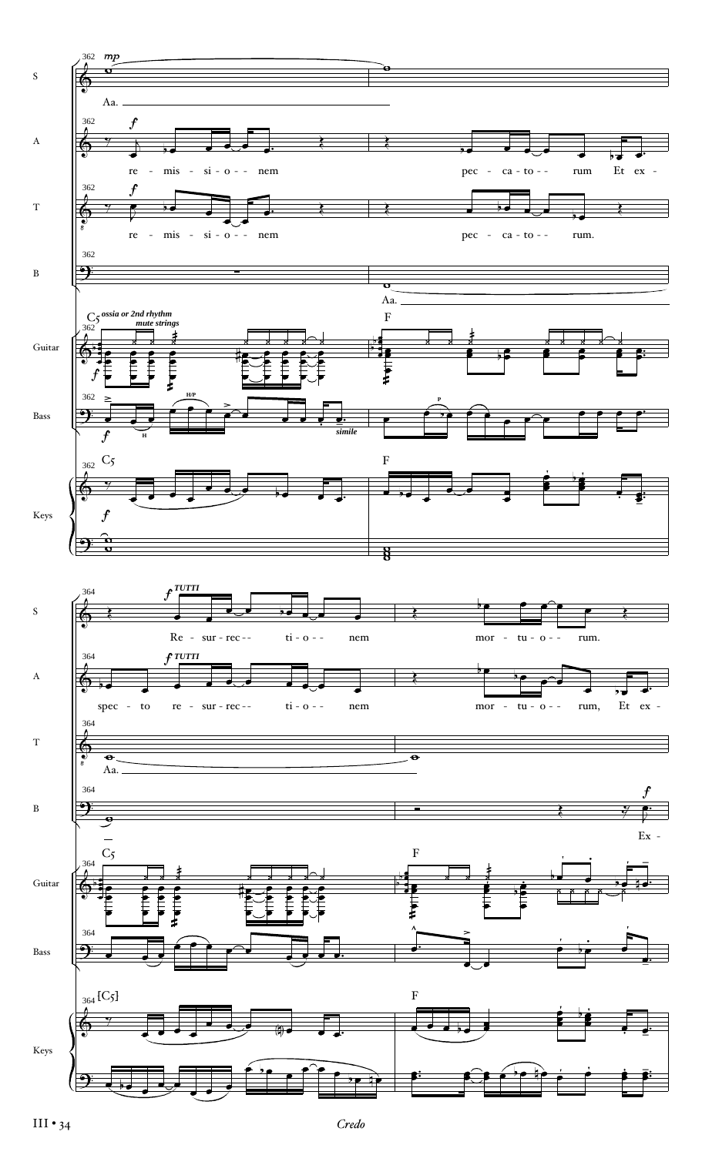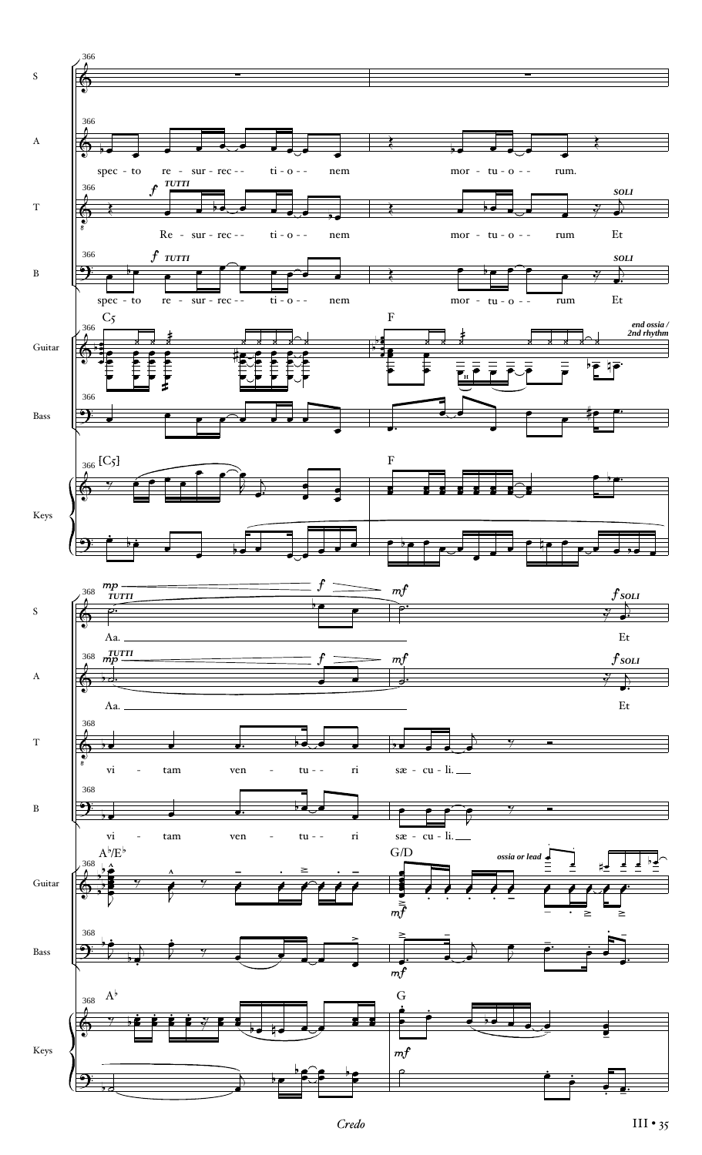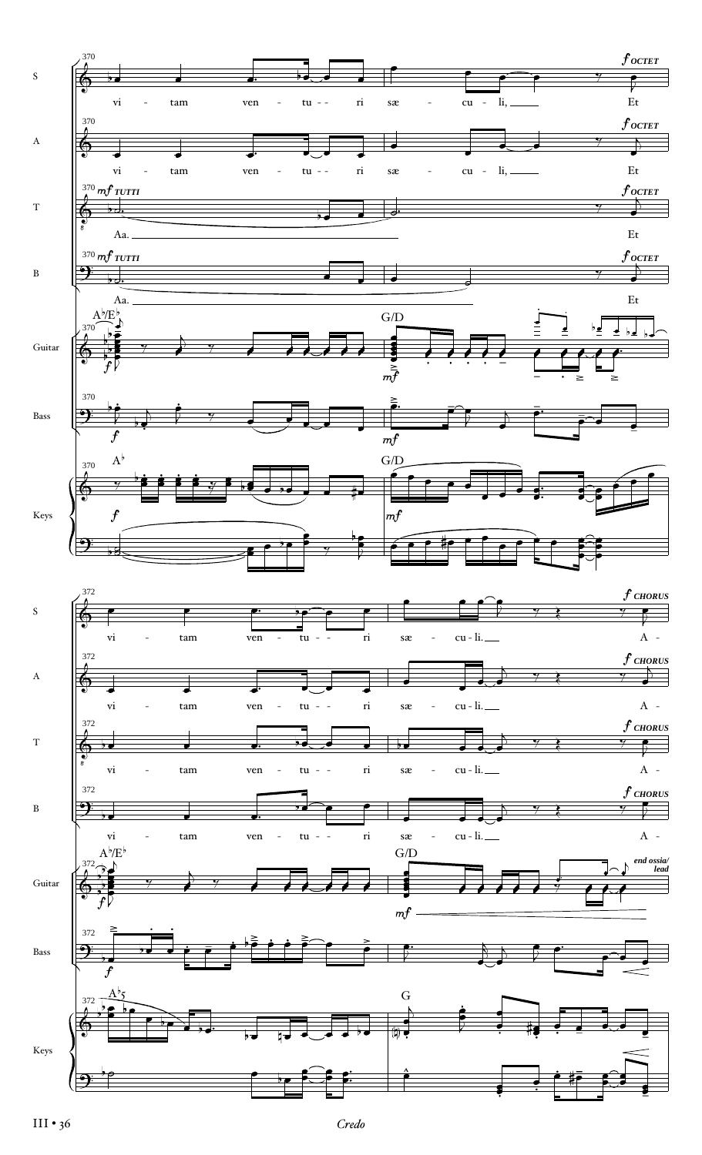